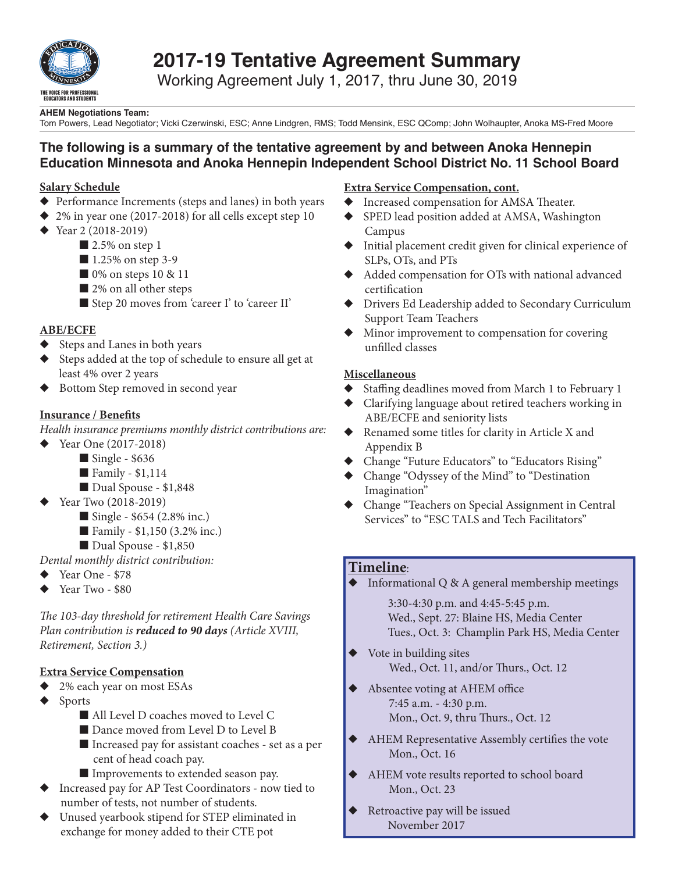

# **2017-19 Tentative Agreement Summary**

Working Agreement July 1, 2017, thru June 30, 2019

#### **AHEM Negotiations Team:**

Tom Powers, Lead Negotiator; Vicki Czerwinski, ESC; Anne Lindgren, RMS; Todd Mensink, ESC QComp; John Wolhaupter, Anoka MS-Fred Moore

### **The following is a summary of the tentative agreement by and between Anoka Hennepin Education Minnesota and Anoka Hennepin Independent School District No. 11 School Board**

#### **Salary Schedule**

- $\blacklozenge$  Performance Increments (steps and lanes) in both years
- $\triangle$  2% in year one (2017-2018) for all cells except step 10
- $\triangle$  Year 2 (2018-2019)
	- $\blacksquare$  2.5% on step 1
	- $\blacksquare$  1.25% on step 3-9
	- $\Box$  0% on steps 10 & 11
	- $\blacksquare$  2% on all other steps
	- Step 20 moves from 'career I' to 'career II'

#### **ABE/ECFE**

- $\blacklozenge$  Steps and Lanes in both years
- Steps added at the top of schedule to ensure all get at least 4% over 2 years
- ◆ Bottom Step removed in second year

#### **Insurance / Benefits**

*Health insurance premiums monthly district contributions are:*

- $\blacklozenge$  Year One (2017-2018)
	- $\blacksquare$  Single \$636
	- $\blacksquare$  Family \$1,114
		- Dual Spouse \$1,848
- Year Two (2018-2019)
	- $\blacksquare$  Single \$654 (2.8% inc.)
	- **E** Family  $$1,150$  (3.2% inc.)
- Dual Spouse \$1,850
- *Dental monthly district contribution:*
- $\blacklozenge$  Year One \$78
- Year Two \$80

*The 103-day threshold for retirement Health Care Savings Plan contribution is reduced to 90 days (Article XVIII, Retirement, Section 3.)*

#### **Extra Service Compensation**

- $\triangleq$  2% each year on most ESAs
- $\blacklozenge$  Sports
	- All Level D coaches moved to Level C
	- Dance moved from Level D to Level B
	- Increased pay for assistant coaches set as a per cent of head coach pay.
	- Improvements to extended season pay.
- Increased pay for AP Test Coordinators now tied to number of tests, not number of students.
- Unused yearbook stipend for STEP eliminated in exchange for money added to their CTE pot

#### **Extra Service Compensation, cont.**

- $\blacklozenge$  Increased compensation for AMSA Theater.
- SPED lead position added at AMSA, Washington Campus
- $\blacklozenge$  Initial placement credit given for clinical experience of SLPs, OTs, and PTs
- $\blacklozenge$  Added compensation for OTs with national advanced certification
- $\blacklozenge$  Drivers Ed Leadership added to Secondary Curriculum Support Team Teachers
- Minor improvement to compensation for covering unfilled classes

#### **Miscellaneous**

- $\blacklozenge$  Staffing deadlines moved from March 1 to February 1
- ◆ Clarifying language about retired teachers working in ABE/ECFE and seniority lists
- $\blacklozenge$  Renamed some titles for clarity in Article X and Appendix B
- Change "Future Educators" to "Educators Rising"
- ◆ Change "Odyssey of the Mind" to "Destination Imagination"
- u Change "Teachers on Special Assignment in Central Services" to "ESC TALS and Tech Facilitators"

#### **Timeline**:

 $\blacklozenge$  Informational Q & A general membership meetings

 3:30-4:30 p.m. and 4:45-5:45 p.m. Wed., Sept. 27: Blaine HS, Media Center Tues., Oct. 3: Champlin Park HS, Media Center

- Vote in building sites Wed., Oct. 11, and/or Thurs., Oct. 12
- ◆ Absentee voting at AHEM office 7:45 a.m. - 4:30 p.m. Mon., Oct. 9, thru Thurs., Oct. 12
- $\blacklozenge$  AHEM Representative Assembly certifies the vote Mon., Oct. 16
- $\blacklozenge$  AHEM vote results reported to school board Mon., Oct. 23
- ◆ Retroactive pay will be issued November 2017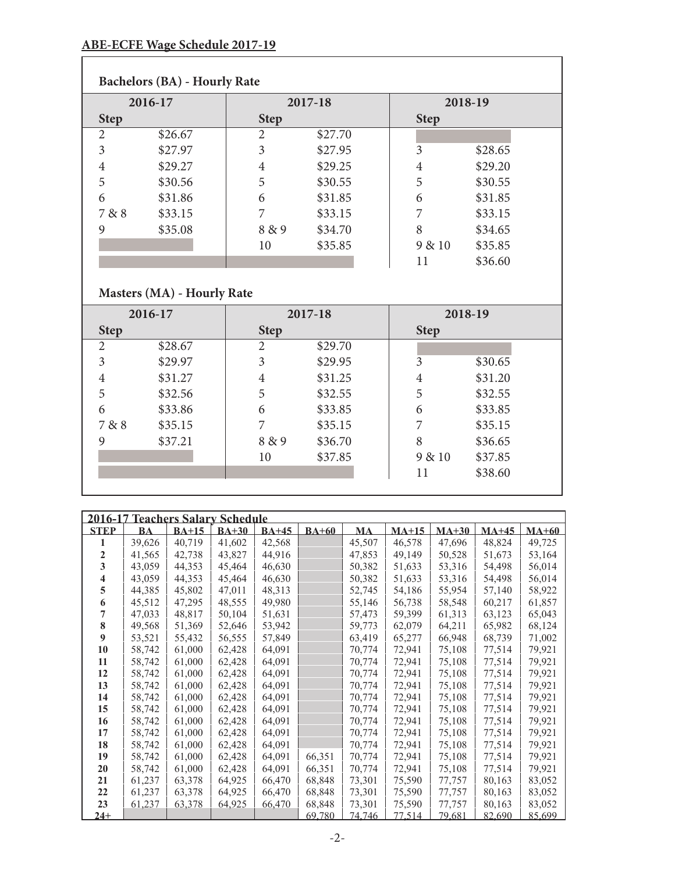### **ABE-ECFE Wage Schedule 2017-19**

|             | <b>Bachelors (BA) - Hourly Rate</b> |             |         |             |         |  |  |  |  |  |
|-------------|-------------------------------------|-------------|---------|-------------|---------|--|--|--|--|--|
| 2016-17     |                                     |             | 2017-18 |             | 2018-19 |  |  |  |  |  |
| <b>Step</b> |                                     | <b>Step</b> |         | <b>Step</b> |         |  |  |  |  |  |
| 2           | \$26.67                             | 2           | \$27.70 |             |         |  |  |  |  |  |
| 3           | \$27.97                             | 3           | \$27.95 | 3           | \$28.65 |  |  |  |  |  |
| 4           | \$29.27                             | 4           | \$29.25 | 4           | \$29.20 |  |  |  |  |  |
| 5           | \$30.56                             | 5           | \$30.55 | 5           | \$30.55 |  |  |  |  |  |
| 6           | \$31.86                             | 6           | \$31.85 | 6           | \$31.85 |  |  |  |  |  |
| 7 & 8       | \$33.15                             | 7           | \$33.15 |             | \$33.15 |  |  |  |  |  |
| 9           | \$35.08                             | 8 & 9       | \$34.70 | 8           | \$34.65 |  |  |  |  |  |
|             |                                     | 10          | \$35.85 | 9 & 10      | \$35.85 |  |  |  |  |  |
|             |                                     |             |         | 11          | \$36.60 |  |  |  |  |  |

# **Masters (MA) - Hourly Rate**

|             | 2016-17 |             | 2017-18 |                | 2018-19 |
|-------------|---------|-------------|---------|----------------|---------|
| <b>Step</b> |         | <b>Step</b> |         | <b>Step</b>    |         |
| 2           | \$28.67 | 2           | \$29.70 |                |         |
| 3           | \$29.97 | 3           | \$29.95 | 3              | \$30.65 |
| 4           | \$31.27 | 4           | \$31.25 | $\overline{4}$ | \$31.20 |
| 5           | \$32.56 | 5           | \$32.55 | 5              | \$32.55 |
| 6           | \$33.86 | 6           | \$33.85 | 6              | \$33.85 |
| 7 & 8       | \$35.15 |             | \$35.15 | 7              | \$35.15 |
| 9           | \$37.21 | 8 & 9       | \$36.70 | 8              | \$36.65 |
|             |         | 10          | \$37.85 | 9 & 10         | \$37.85 |
|             |         |             |         | 11             | \$38.60 |
|             |         |             |         |                |         |

| 2016-17     |           | <b>Teachers Salary Schedule</b> |         |         |              |               |         |         |         |         |
|-------------|-----------|---------------------------------|---------|---------|--------------|---------------|---------|---------|---------|---------|
| <b>STEP</b> | <b>BA</b> | $BA+15$                         | $BA+30$ | $BA+45$ | <b>BA+60</b> | <b>MA</b>     | $MA+15$ | $MA+30$ | $MA+45$ | $MA+60$ |
| 1           | 39,626    | 40,719                          | 41,602  | 42,568  |              | 45,507        | 46,578  | 47,696  | 48,824  | 49,725  |
| 2           | 41,565    | 42,738                          | 43,827  | 44,916  |              | 47,853        | 49,149  | 50,528  | 51,673  | 53,164  |
| 3           | 43,059    | 44,353                          | 45,464  | 46,630  |              | 50,382        | 51,633  | 53,316  | 54,498  | 56,014  |
| 4           | 43,059    | 44,353                          | 45,464  | 46,630  |              | 50,382        | 51,633  | 53,316  | 54,498  | 56,014  |
| 5           | 44,385    | 45,802                          | 47,011  | 48,313  |              | 52,745        | 54,186  | 55,954  | 57,140  | 58,922  |
| 6           | 45,512    | 47,295                          | 48,555  | 49,980  |              | 55,146        | 56,738  | 58,548  | 60,217  | 61,857  |
| 7           | 47,033    | 48,817                          | 50,104  | 51,631  |              | 57,473        | 59,399  | 61,313  | 63,123  | 65,043  |
| 8           | 49,568    | 51,369                          | 52,646  | 53,942  |              | 59,773        | 62,079  | 64,211  | 65,982  | 68,124  |
| 9           | 53,521    | 55,432                          | 56,555  | 57,849  |              | 63,419        | 65,277  | 66,948  | 68,739  | 71,002  |
| 10          | 58,742    | 61,000                          | 62,428  | 64,091  |              | 70,774        | 72,941  | 75,108  | 77,514  | 79,921  |
| 11          | 58,742    | 61,000                          | 62,428  | 64,091  |              | 70,774        | 72,941  | 75,108  | 77,514  | 79,921  |
| 12          | 58,742    | 61,000                          | 62,428  | 64,091  |              | 70,774        | 72,941  | 75,108  | 77,514  | 79,921  |
| 13          | 58,742    | 61,000                          | 62,428  | 64,091  |              | 70,774        | 72,941  | 75,108  | 77,514  | 79,921  |
| 14          | 58,742    | 61,000                          | 62,428  | 64,091  |              | 70,774        | 72,941  | 75,108  | 77,514  | 79,921  |
| 15          | 58,742    | 61,000                          | 62,428  | 64,091  |              | 70,774        | 72,941  | 75,108  | 77,514  | 79,921  |
| 16          | 58,742    | 61,000                          | 62,428  | 64,091  |              | 70,774        | 72,941  | 75,108  | 77,514  | 79,921  |
| 17          | 58,742    | 61,000                          | 62,428  | 64,091  |              | 70,774        | 72,941  | 75,108  | 77,514  | 79,921  |
| 18          | 58,742    | 61,000                          | 62,428  | 64,091  |              | 70,774        | 72,941  | 75,108  | 77,514  | 79,921  |
| 19          | 58,742    | 61,000                          | 62,428  | 64,091  | 66,351       | 70,774        | 72,941  | 75,108  | 77,514  | 79,921  |
| 20          | 58,742    | 61,000                          | 62,428  | 64,091  | 66,351       | 70,774        | 72,941  | 75,108  | 77,514  | 79,921  |
| 21          | 61,237    | 63,378                          | 64,925  | 66,470  | 68,848       | 73,301        | 75,590  | 77,757  | 80,163  | 83,052  |
| 22          | 61,237    | 63,378                          | 64,925  | 66,470  | 68,848       | 73,301        | 75,590  | 77,757  | 80,163  | 83,052  |
| 23          | 61,237    | 63,378                          | 64,925  | 66,470  | 68,848       | 73,301        | 75,590  | 77,757  | 80,163  | 83,052  |
| $24+$       |           |                                 |         |         | 69,780       | <u>74.746</u> | 77.514  | 79.681  | 82,690  | 85,699  |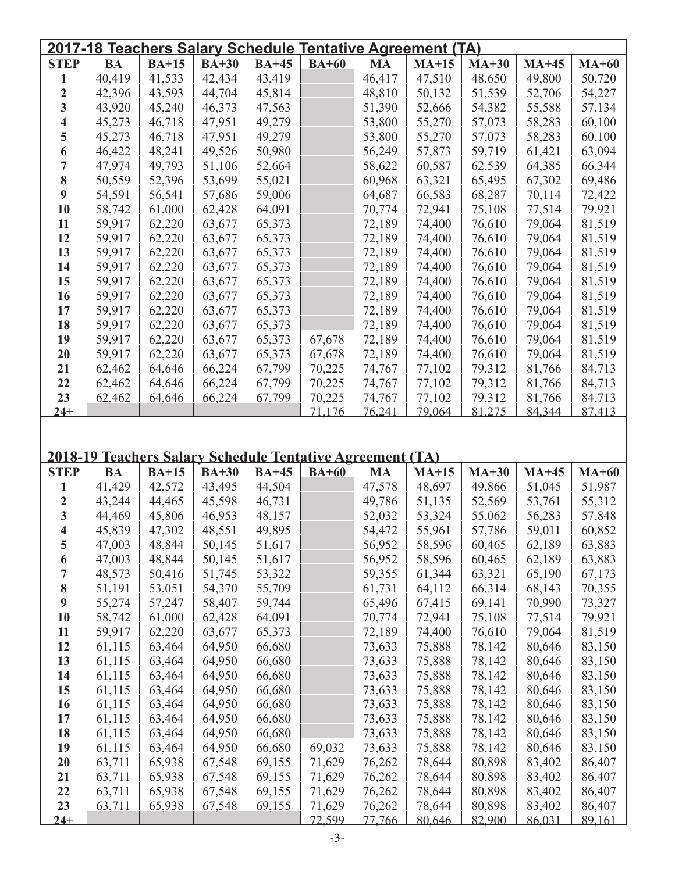| 2017-18 Teachers Salary Schedule Tentative Agreement (TA) |           |         |         |                                                           |                  |                         |                  |                  |                  |                  |
|-----------------------------------------------------------|-----------|---------|---------|-----------------------------------------------------------|------------------|-------------------------|------------------|------------------|------------------|------------------|
| <b>STEP</b>                                               | <b>BA</b> | $BA+15$ | $BA+30$ | $BA+45$                                                   | $BA+60$          | <b>MA</b>               | $MA+15$          | $MA+30$          | $MA+45$          | $MA+60$          |
| 1                                                         | 40,419    | 41,533  | 42,434  | 43,419                                                    |                  | 46,417                  | 47,510           | 48,650           | 49,800           | 50,720           |
| $\boldsymbol{2}$                                          | 42,396    | 43,593  | 44,704  | 45,814                                                    |                  | 48,810                  | 50,132           | 51,539           | 52,706           | 54,227           |
| $\mathbf{3}$                                              | 43,920    | 45,240  | 46,373  | 47,563                                                    |                  | 51,390                  | 52,666           | 54,382           | 55,588           | 57,134           |
| 4                                                         | 45,273    | 46,718  | 47,951  | 49,279                                                    |                  | 53,800                  | 55,270           | 57,073           | 58,283           | 60,100           |
| 5                                                         | 45,273    | 46,718  | 47,951  | 49,279                                                    |                  | 53,800                  | 55,270           | 57,073           | 58,283           | 60,100           |
| 6                                                         | 46,422    | 48,241  | 49,526  | 50,980                                                    |                  | 56,249                  | 57,873           | 59,719           | 61,421           | 63,094           |
| 7                                                         | 47,974    | 49,793  | 51,106  | 52,664                                                    |                  | 58,622                  | 60,587           | 62,539           | 64,385           | 66,344           |
| 8                                                         | 50,559    | 52,396  | 53,699  | 55,021                                                    |                  | 60,968                  | 63,321           | 65,495           | 67,302           | 69,486           |
| $\boldsymbol{9}$                                          | 54,591    | 56,541  | 57,686  | 59,006                                                    |                  | 64,687                  | 66,583           | 68,287           | 70,114           | 72,422           |
| 10                                                        | 58,742    | 61,000  | 62,428  | 64,091                                                    |                  | 70,774                  | 72,941           | 75,108           | 77,514           | 79,921           |
| 11                                                        | 59,917    | 62,220  | 63,677  | 65,373                                                    |                  | 72,189                  | 74,400           | 76,610           | 79,064           | 81,519           |
| 12                                                        | 59,917    | 62,220  | 63,677  | 65,373                                                    |                  | 72,189                  | 74,400           | 76,610           | 79,064           | 81,519           |
| 13                                                        | 59,917    | 62,220  | 63,677  | 65,373                                                    |                  | 72,189                  | 74,400           | 76,610           | 79,064           | 81,519           |
| 14                                                        | 59,917    | 62,220  | 63,677  | 65,373                                                    |                  | 72,189                  | 74,400           | 76,610           | 79,064           | 81,519           |
| 15                                                        | 59,917    | 62,220  | 63,677  | 65,373                                                    |                  | 72,189                  | 74,400           | 76,610           | 79,064           | 81,519           |
| 16                                                        | 59,917    | 62,220  | 63,677  | 65,373                                                    |                  | 72,189                  | 74,400           | 76,610           | 79,064           | 81,519           |
| 17                                                        | 59,917    | 62,220  | 63,677  | 65,373                                                    |                  | 72,189                  | 74,400           | 76,610           | 79,064           | 81,519           |
| 18                                                        | 59,917    | 62,220  | 63,677  | 65,373                                                    |                  | 72,189                  | 74,400           | 76,610           | 79,064           | 81,519           |
| 19                                                        | 59,917    | 62,220  | 63,677  | 65,373                                                    | 67,678           | 72,189                  | 74,400           | 76,610           | 79,064           | 81,519           |
| 20                                                        | 59,917    | 62,220  | 63,677  | 65,373                                                    | 67,678           | 72,189                  | 74,400           | 76,610           | 79,064           | 81,519           |
| 21                                                        | 62,462    | 64,646  | 66,224  | 67,799                                                    | 70,225           | 74,767                  | 77,102           | 79,312           | 81,766           | 84,713           |
| 22                                                        | 62,462    | 64,646  | 66,224  | 67,799                                                    | 70,225           | 74,767                  | 77,102           | 79,312           | 81,766           | 84,713           |
| 23                                                        |           |         |         |                                                           |                  |                         |                  | 79,312           |                  |                  |
| $24+$                                                     | 62,462    | 64,646  | 66,224  | 67,799                                                    | 70,225<br>71.176 | 74,767<br>76.241        | 77,102<br>79.064 | 81.275           | 81,766<br>84,344 | 84,713<br>87.413 |
|                                                           |           |         |         | 2018-19 Teachers Salary Schedule Tentative Agreement (TA) |                  |                         |                  |                  |                  |                  |
| <b>STEP</b>                                               | <b>BA</b> | $BA+15$ | $BA+30$ | <b>BA+45</b>                                              | $BA+60$          | <b>MA</b>               | $MA+15$          | $MA+30$          | $MA+45$          | $MA+60$          |
| 1                                                         | 41,429    |         |         |                                                           |                  |                         |                  |                  |                  |                  |
| $\boldsymbol{2}$                                          |           | 42,572  | 43,495  | 44,504                                                    |                  | 47,578                  | 48,697           | 49,866           | 51,045           | 51,987           |
|                                                           | 43,244    | 44,465  | 45,598  | 46,731                                                    |                  | 49,786                  | 51,135           | 52,569           | 53,761           | 55,312           |
| $\mathbf{3}$                                              | 44,469    | 45,806  | 46,953  | 48,157                                                    |                  | 52,032                  | 53,324           | 55,062           | 56,283           | 57,848           |
| $\overline{\mathbf{4}}$                                   | 45,839    | 47,302  | 48,551  | 49,895                                                    |                  | 54,472                  | 55,961           | 57,786           | 59,011           | 60,852           |
| 5                                                         | 47,003    | 48,844  | 50,145  | 51,617                                                    |                  | 56,952                  | 58,596           | 60,465           | 62,189           | 63,883           |
| 6                                                         | 47,003    | 48,844  | 50,145  | 51,617                                                    |                  | 56,952                  | 58,596           | 60,465           | 62,189           | 63,883           |
| 7                                                         | 48,573    | 50,416  | 51,745  | 53,322                                                    |                  | 59,355                  | 61,344           | 63,321           | 65,190           | 67,173           |
| 8                                                         | 51,191    | 53,051  | 54,370  | 55,709                                                    |                  | 61,731                  | 64,112           | 66,314           | 68,143           | 70,355           |
| $\boldsymbol{9}$                                          | 55,274    | 57,247  | 58,407  | 59,744                                                    |                  | 65,496                  | 67,415           | 69,141           | 70,990           | 73,327           |
| 10                                                        | 58,742    | 61,000  | 62,428  | 64,091                                                    |                  | 70,774                  | 72,941           | 75,108           | 77,514           | 79,921           |
| 11                                                        | 59,917    | 62,220  | 63,677  | 65,373                                                    |                  | 72,189                  | 74,400           | 76,610           | 79,064           | 81,519           |
| 12                                                        | 61,115    | 63,464  | 64,950  | 66,680                                                    |                  | 73,633                  | 75,888           | 78,142           | 80,646           | 83,150           |
| 13                                                        | 61,115    | 63,464  | 64,950  | 66,680                                                    |                  | 73,633                  | 75,888           | 78,142           | 80,646           | 83,150           |
| 14                                                        | 61,115    | 63,464  | 64,950  | 66,680                                                    |                  | 73,633                  | 75,888           | 78,142           | 80,646           | 83,150           |
| 15                                                        | 61,115    | 63,464  | 64,950  | 66,680                                                    |                  | 73,633                  | 75,888           | 78,142           | 80,646           | 83,150           |
| 16                                                        | 61,115    | 63,464  | 64,950  | 66,680                                                    |                  | 73,633                  | 75,888           | 78,142           | 80,646           | 83,150           |
| 17                                                        | 61,115    | 63,464  | 64,950  | 66,680                                                    |                  | 73,633                  | 75,888           | 78,142           | 80,646           | 83,150           |
| 18                                                        | 61,115    | 63,464  | 64,950  | 66,680                                                    |                  | 73,633                  | 75,888           | 78,142           | 80,646           | 83,150           |
| 19                                                        | 61,115    | 63,464  | 64,950  | 66,680                                                    | 69,032           | 73,633                  | 75,888           | 78,142           | 80,646           | 83,150           |
| 20                                                        | 63,711    | 65,938  | 67,548  | 69,155                                                    | 71,629           | 76,262                  | 78,644           | 80,898           | 83,402           | 86,407           |
| 21                                                        | 63,711    | 65,938  | 67,548  | 69,155                                                    | 71,629           | 76,262                  | 78,644           | 80,898           | 83,402           | 86,407           |
| 22                                                        | 63,711    | 65,938  | 67,548  | 69,155                                                    | 71,629           | 76,262                  | 78,644           | 80,898           | 83,402           | 86,407           |
| 23<br>$24+$                                               | 63,711    | 65,938  | 67,548  | 69,155                                                    | 71,629<br>72,599 | 76,262<br><u>77,766</u> | 78,644<br>80,646 | 80,898<br>82,900 | 83,402<br>86,031 | 86,407<br>89,161 |